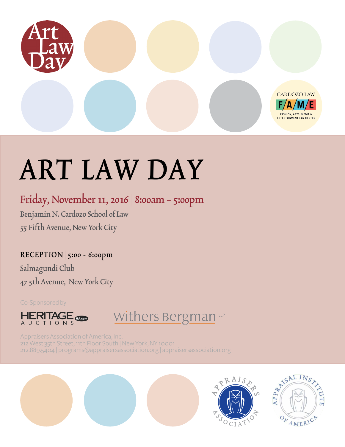

# ART LAW DAY

# Friday, November 11, 2016 | 8:00am – 5:00pm Benjamin N. Cardozo School of Law 55 Fifth Avenue, New York City

RECEPTION | 5:00 - 6:00pm Salmagundi Club 47 5th Avenue, New York City

Co-Sponsored by



# Withers Bergman LLP

Appraisers Association of America, Inc. 212 West 35th Street, 11th Floor South | New York, NY 10001 212.889.5404 | programs@appraisersassociation.org | appraisersassociation.org





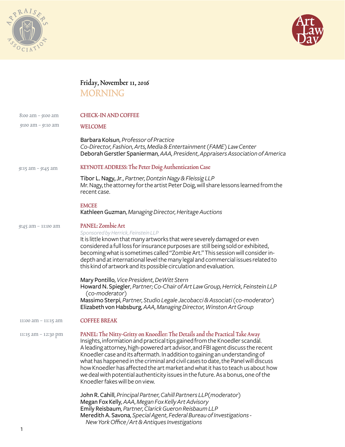



|                     | Friday, November 11, 2016<br><b>MORNING</b>                                                                                                                                                                                                                                                                                                                                                                                                                                                                                                                                                                               |
|---------------------|---------------------------------------------------------------------------------------------------------------------------------------------------------------------------------------------------------------------------------------------------------------------------------------------------------------------------------------------------------------------------------------------------------------------------------------------------------------------------------------------------------------------------------------------------------------------------------------------------------------------------|
| 8:00 am – 9:00 am   | <b>CHECK-IN AND COFFEE</b>                                                                                                                                                                                                                                                                                                                                                                                                                                                                                                                                                                                                |
| 9:00 am – 9:10 am   | <b>WELCOME</b>                                                                                                                                                                                                                                                                                                                                                                                                                                                                                                                                                                                                            |
|                     | Barbara Kolsun, Professor of Practice<br>Co-Director, Fashion, Arts, Media & Entertainment (FAME) Law Center<br>Deborah Gerstler Spanierman, AAA, President, Appraisers Association of America                                                                                                                                                                                                                                                                                                                                                                                                                            |
| 9:15 am – 9:45 am   | KEYNOTE ADDRESS: The Peter Doig Authentication Case                                                                                                                                                                                                                                                                                                                                                                                                                                                                                                                                                                       |
|                     | Tibor L. Nagy, Jr., Partner, Dontzin Nagy & Fleissig LLP<br>Mr. Nagy, the attorney for the artist Peter Doig, will share lessons learned from the<br>recent case.                                                                                                                                                                                                                                                                                                                                                                                                                                                         |
|                     | <b>EMCEE</b><br>Kathleen Guzman, Managing Director, Heritage Auctions                                                                                                                                                                                                                                                                                                                                                                                                                                                                                                                                                     |
| 9:45 am – 11:00 am  | PANEL: Zombie Art<br>Sponsored by Herrick, Feinstein LLP<br>It is little known that many artworks that were severely damaged or even<br>considered a full loss for insurance purposes are still being sold or exhibited,<br>becoming what is sometimes called "Zombie Art." This session will consider in-<br>depth and at international level the many legal and commercial issues related to<br>this kind of artwork and its possible circulation and evaluation.                                                                                                                                                       |
|                     | Mary Pontillo, Vice President, DeWitt Stern<br>Howard N. Spiegler, Partner; Co-Chair of Art Law Group, Herrick, Feinstein LLP<br>(co-moderator)<br>Massimo Sterpi, Partner, Studio Legale Jacobacci & Associati (co-moderator)<br>Elizabeth von Habsburg, AAA, Managing Director, Winston Art Group                                                                                                                                                                                                                                                                                                                       |
| 11:00 am - 11:15 am | <b>COFFEE BREAK</b>                                                                                                                                                                                                                                                                                                                                                                                                                                                                                                                                                                                                       |
| 11:15 am - 12:30 pm | PANEL: The Nitty-Gritty on Knoedler: The Details and the Practical Take Away<br>Insights, information and practical tips gained from the Knoedler scandal.<br>A leading attorney, high-powered art advisor, and FBI agent discuss the recent<br>Knoedler case and its aftermath. In addition to gaining an understanding of<br>what has happened in the criminal and civil cases to date, the Panel will discuss<br>how Knoedler has affected the art market and what it has to teach us about how<br>we deal with potential authenticity issues in the future. As a bonus, one of the<br>Knoedler fakes will be on view. |
|                     | John R. Cahill, Principal Partner, Cahill Partners LLP(moderator)<br>Megan Fox Kelly, AAA, Megan Fox Kelly Art Advisory<br>Emily Reisbaum, Partner, Clarick Gueron Reisbaum LLP<br>Meredith A. Savona, Special Agent, Federal Bureau of Investigations -                                                                                                                                                                                                                                                                                                                                                                  |

 *New York Office / Art & Antiques Investigations*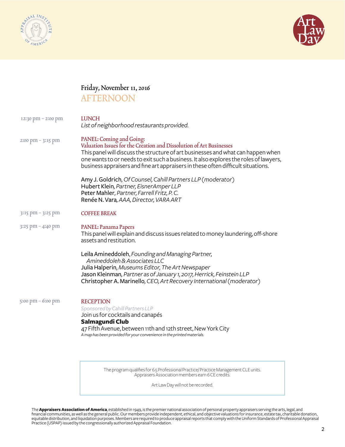



## Friday, November 11, 2016

### **AFTERNOON**

| 12:30 pm - 2:00 pm | <b>LUNCH</b><br>List of neighborhood restaurants provided.                                                                                                                                                                                                                                                                                                       |
|--------------------|------------------------------------------------------------------------------------------------------------------------------------------------------------------------------------------------------------------------------------------------------------------------------------------------------------------------------------------------------------------|
| 2:00 pm - 3:15 pm  | PANEL: Coming and Going:<br>Valuation Issues for the Creation and Dissolution of Art Businesses<br>This panel will discuss the structure of art businesses and what can happen when<br>one wants to or needs to exit such a business. It also explores the roles of lawyers,<br>business appraisers and fine art appraisers in these often difficult situations. |
|                    | Amy J. Goldrich, Of Counsel, Cahill Partners LLP (moderator)<br>Hubert Klein, Partner, EisnerAmper LLP<br>Peter Mahler, Partner, Farrell Fritz, P.C.<br>Renée N. Vara, AAA, Director, VARA ART                                                                                                                                                                   |
| 3:15 pm - 3:25 pm  | <b>COFFEE BREAK</b>                                                                                                                                                                                                                                                                                                                                              |
| 3:25 pm - 4:40 pm  | PANEL: Panama Papers<br>This panel will explain and discuss issues related to money laundering, off-shore<br>assets and restitution.                                                                                                                                                                                                                             |
|                    | Leila Amineddoleh, Founding and Managing Partner,<br>Amineddoleh & Associates LLC<br>Julia Halperin, Museums Editor, The Art Newspaper<br>Jason Kleinman, Partner as of January 1, 2017, Herrick, Feinstein LLP<br>Christopher A. Marinello, CEO, Art Recovery International (moderator)                                                                         |
| 5:00 pm - 6:00 pm  | <b>RECEPTION</b><br>Sponsored by Cahill Partners LLP<br>Join us for cocktails and canapés<br>Salmagundi Club<br>47 Fifth Avenue, between 11th and 12th street, New York City<br>A map has been provided for your convenience in the printed materials.                                                                                                           |

The program qualifies for 6.5 Professional Practice/ Practice Management CLE units. Appraisers Association members earn 6 CE credits.

Art Law Day will not be recorded.

The **Appraisers Association of America**, established in 1949, is the premier national association of personal property appraisers serving the arts, legal, and<br>financial communities, as well as the general public. Our membe equitable distribution, and liquidation purposes. Members are required to produce appraisal reports that comply with the Uniform Standards of Professional Appraisal Practice (USPAP) issued by the congressionally authorized Appraisal Foundation.